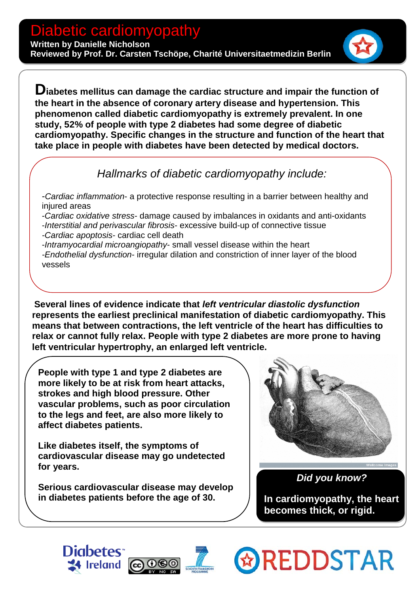**Diabetes mellitus can damage the cardiac structure and impair the function of the heart in the absence of coronary artery disease and hypertension. This phenomenon called diabetic cardiomyopathy is extremely prevalent. In one study, 52% of people with type 2 diabetes had some degree of diabetic cardiomyopathy. Specific changes in the structure and function of the heart that take place in people with diabetes have been detected by medical doctors.** 

## *Hallmarks of diabetic cardiomyopathy include:*

-*Cardiac inflammation*- a protective response resulting in a barrier between healthy and injured areas

-*Cardiac oxidative stress*- damage caused by imbalances in oxidants and anti-oxidants

-*Interstitial and perivascular fibrosis*- excessive build-up of connective tissue *-Cardiac apoptosis*- cardiac cell death

-*Intramyocardial microangiopathy*- small vessel disease within the heart

*-Endothelial dysfunction*- irregular dilation and constriction of inner layer of the blood vessels

 **relax or cannot fully relax. People with type 2 diabetes are more prone to having Several lines of evidence indicate that** *left ventricular diastolic dysfunction*  **represents the earliest preclinical manifestation of diabetic cardiomyopathy. This means that between contractions, the left ventricle of the heart has difficulties to left ventricular hypertrophy, an enlarged left ventricle.**

**People with type 1 and type 2 diabetes are more likely to be at risk from heart attacks, strokes and high blood pressure. Other vascular problems, such as [poor circulation](http://www.diabetes.co.uk/diabetes-complications/poor-blood-circulation.html) to the legs and feet, are also more likely to affect diabetes patients.**

 **Like diabetes itself, the symptoms of cardiovascular disease may go undetected for years.** 

**Serious cardiovascular disease may develop in diabetes patients before the age of 30.**

**Diabetes** 

**14 Ireland** 



 *Did you know?*

**In cardiomyopathy, the heart becomes thick, or rigid.**